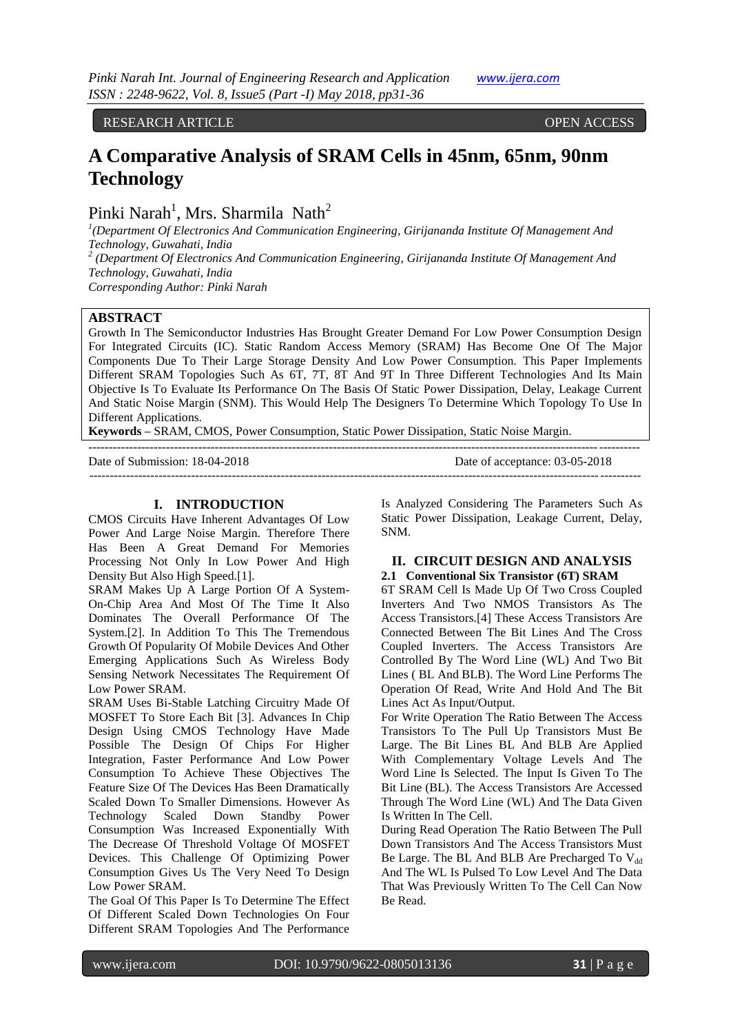RESEARCH ARTICLE **CONTRACT ARTICLE** 

# **A Comparative Analysis of SRAM Cells in 45nm, 65nm, 90nm Technology**

Pinki Narah<sup>1</sup>, Mrs. Sharmila Nath<sup>2</sup>

*1 (Department Of Electronics And Communication Engineering, Girijananda Institute Of Management And Technology, Guwahati, India*

*2 (Department Of Electronics And Communication Engineering, Girijananda Institute Of Management And Technology, Guwahati, India*

*Corresponding Author: Pinki Narah*

# **ABSTRACT**

Growth In The Semiconductor Industries Has Brought Greater Demand For Low Power Consumption Design For Integrated Circuits (IC). Static Random Access Memory (SRAM) Has Become One Of The Major Components Due To Their Large Storage Density And Low Power Consumption. This Paper Implements Different SRAM Topologies Such As 6T, 7T, 8T And 9T In Three Different Technologies And Its Main Objective Is To Evaluate Its Performance On The Basis Of Static Power Dissipation, Delay, Leakage Current And Static Noise Margin (SNM). This Would Help The Designers To Determine Which Topology To Use In Different Applications.

---------------------------------------------------------------------------------------------------------------------------------------

**Keywords –** SRAM, CMOS, Power Consumption, Static Power Dissipation, Static Noise Margin.

Date of Submission: 18-04-2018 Date of acceptance: 03-05-2018 ---------------------------------------------------------------------------------------------------------------------------------------

# **I. INTRODUCTION**

CMOS Circuits Have Inherent Advantages Of Low Power And Large Noise Margin. Therefore There Has Been A Great Demand For Memories Processing Not Only In Low Power And High Density But Also High Speed.[1].

SRAM Makes Up A Large Portion Of A System-On-Chip Area And Most Of The Time It Also Dominates The Overall Performance Of The System.[2]. In Addition To This The Tremendous Growth Of Popularity Of Mobile Devices And Other Emerging Applications Such As Wireless Body Sensing Network Necessitates The Requirement Of Low Power SRAM.

SRAM Uses Bi-Stable Latching Circuitry Made Of MOSFET To Store Each Bit [3]. Advances In Chip Design Using CMOS Technology Have Made Possible The Design Of Chips For Higher Integration, Faster Performance And Low Power Consumption To Achieve These Objectives The Feature Size Of The Devices Has Been Dramatically Scaled Down To Smaller Dimensions. However As Technology Scaled Down Standby Power Consumption Was Increased Exponentially With The Decrease Of Threshold Voltage Of MOSFET Devices. This Challenge Of Optimizing Power Consumption Gives Us The Very Need To Design Low Power SRAM.

The Goal Of This Paper Is To Determine The Effect Of Different Scaled Down Technologies On Four Different SRAM Topologies And The Performance

Is Analyzed Considering The Parameters Such As Static Power Dissipation, Leakage Current, Delay, SNM.

#### **II. CIRCUIT DESIGN AND ANALYSIS 2.1 Conventional Six Transistor (6T) SRAM**

6T SRAM Cell Is Made Up Of Two Cross Coupled Inverters And Two NMOS Transistors As The Access Transistors.[4] These Access Transistors Are Connected Between The Bit Lines And The Cross Coupled Inverters. The Access Transistors Are Controlled By The Word Line (WL) And Two Bit Lines ( BL And BLB). The Word Line Performs The Operation Of Read, Write And Hold And The Bit Lines Act As Input/Output.

For Write Operation The Ratio Between The Access Transistors To The Pull Up Transistors Must Be Large. The Bit Lines BL And BLB Are Applied With Complementary Voltage Levels And The Word Line Is Selected. The Input Is Given To The Bit Line (BL). The Access Transistors Are Accessed Through The Word Line (WL) And The Data Given Is Written In The Cell.

During Read Operation The Ratio Between The Pull Down Transistors And The Access Transistors Must Be Large. The BL And BLB Are Precharged To  $V_{dd}$ And The WL Is Pulsed To Low Level And The Data That Was Previously Written To The Cell Can Now Be Read.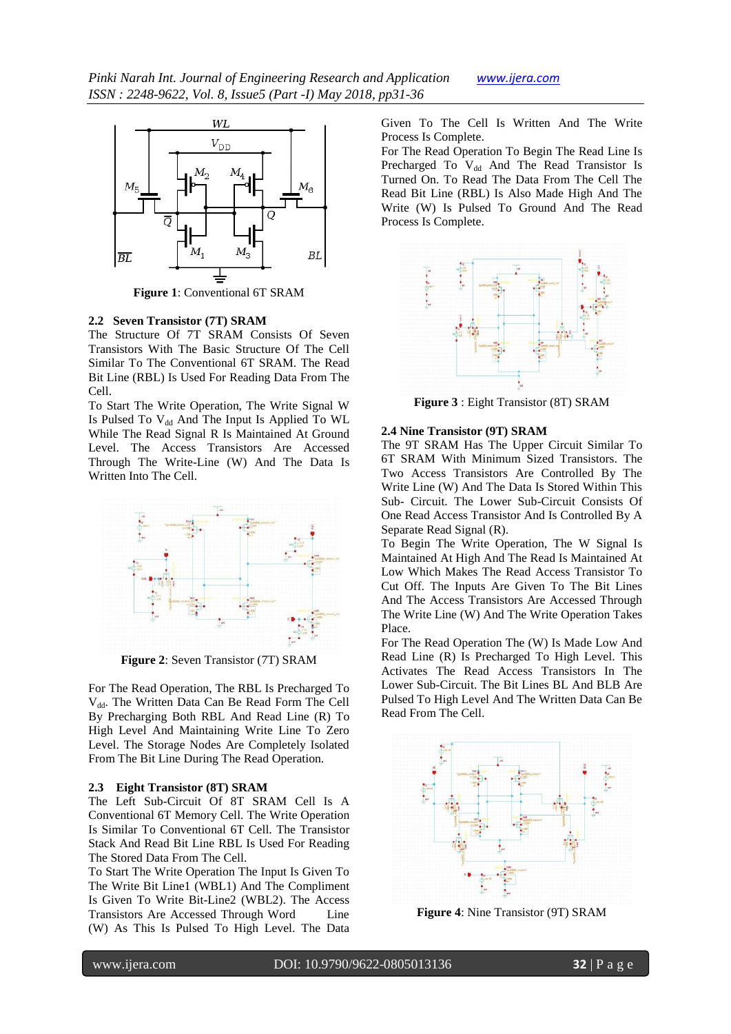

**Figure 1**: Conventional 6T SRAM

#### **2.2 Seven Transistor (7T) SRAM**

The Structure Of 7T SRAM Consists Of Seven Transistors With The Basic Structure Of The Cell Similar To The Conventional 6T SRAM. The Read Bit Line (RBL) Is Used For Reading Data From The Cell.

To Start The Write Operation, The Write Signal W Is Pulsed To  $V_{dd}$  And The Input Is Applied To WL While The Read Signal R Is Maintained At Ground Level. The Access Transistors Are Accessed Through The Write-Line (W) And The Data Is Written Into The Cell.



**Figure 2**: Seven Transistor (7T) SRAM

For The Read Operation, The RBL Is Precharged To V<sub>dd</sub>. The Written Data Can Be Read Form The Cell By Precharging Both RBL And Read Line (R) To High Level And Maintaining Write Line To Zero Level. The Storage Nodes Are Completely Isolated From The Bit Line During The Read Operation.

#### **2.3 Eight Transistor (8T) SRAM**

The Left Sub-Circuit Of 8T SRAM Cell Is A Conventional 6T Memory Cell. The Write Operation Is Similar To Conventional 6T Cell. The Transistor Stack And Read Bit Line RBL Is Used For Reading The Stored Data From The Cell.

To Start The Write Operation The Input Is Given To The Write Bit Line1 (WBL1) And The Compliment Is Given To Write Bit-Line2 (WBL2). The Access Transistors Are Accessed Through Word Line (W) As This Is Pulsed To High Level. The Data Given To The Cell Is Written And The Write Process Is Complete.

For The Read Operation To Begin The Read Line Is Precharged To V<sub>dd</sub> And The Read Transistor Is Turned On. To Read The Data From The Cell The Read Bit Line (RBL) Is Also Made High And The Write (W) Is Pulsed To Ground And The Read Process Is Complete.



**Figure 3** : Eight Transistor (8T) SRAM

#### **2.4 Nine Transistor (9T) SRAM**

The 9T SRAM Has The Upper Circuit Similar To 6T SRAM With Minimum Sized Transistors. The Two Access Transistors Are Controlled By The Write Line (W) And The Data Is Stored Within This Sub- Circuit. The Lower Sub-Circuit Consists Of One Read Access Transistor And Is Controlled By A Separate Read Signal (R).

To Begin The Write Operation, The W Signal Is Maintained At High And The Read Is Maintained At Low Which Makes The Read Access Transistor To Cut Off. The Inputs Are Given To The Bit Lines And The Access Transistors Are Accessed Through The Write Line (W) And The Write Operation Takes Place.

For The Read Operation The (W) Is Made Low And Read Line (R) Is Precharged To High Level. This Activates The Read Access Transistors In The Lower Sub-Circuit. The Bit Lines BL And BLB Are Pulsed To High Level And The Written Data Can Be Read From The Cell.



**Figure 4**: Nine Transistor (9T) SRAM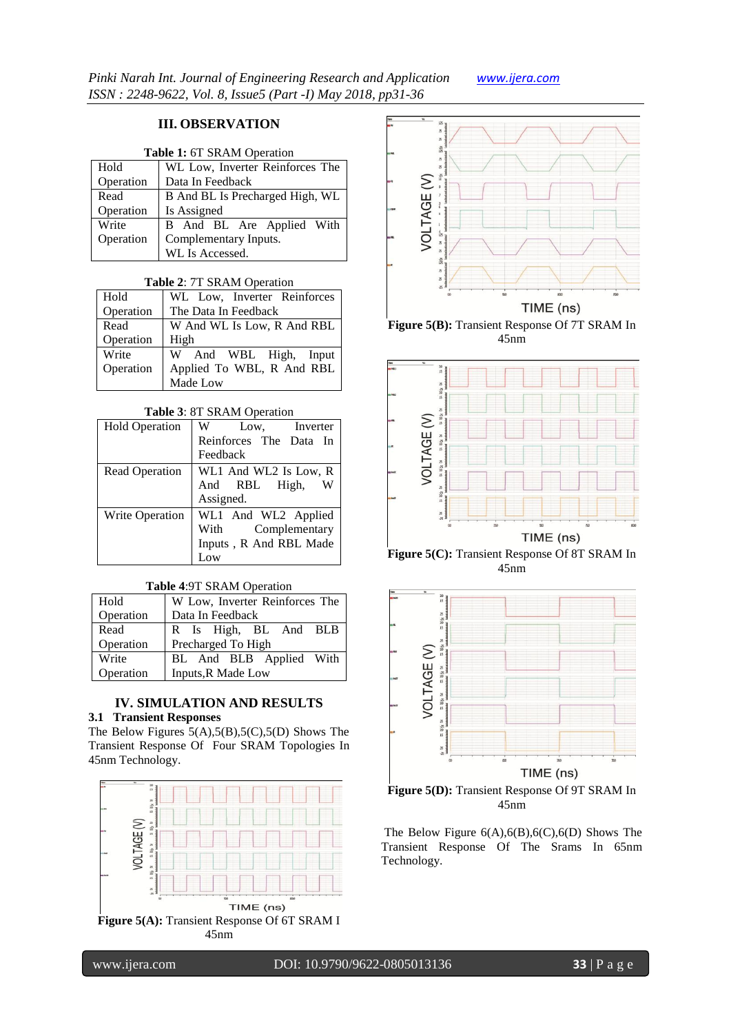# **III. OBSERVATION**

| <b>Table 1: 6T SRAM Operation</b> |  |
|-----------------------------------|--|
|-----------------------------------|--|

| Hold      | WL Low, Inverter Reinforces The |  |  |  |
|-----------|---------------------------------|--|--|--|
| Operation | Data In Feedback                |  |  |  |
| Read      | B And BL Is Precharged High, WL |  |  |  |
| Operation | Is Assigned                     |  |  |  |
| Write     | B And BL Are Applied With       |  |  |  |
| Operation | Complementary Inputs.           |  |  |  |
|           | WL Is Accessed.                 |  |  |  |

#### **Table 2**: 7T SRAM Operation

| Hold      | WL Low, Inverter Reinforces |
|-----------|-----------------------------|
| Operation | The Data In Feedback        |
| Read      | W And WL Is Low, R And RBL  |
| Operation | High                        |
| Write     | W And WBL High, Input       |
| Operation | Applied To WBL, R And RBL   |
|           | Made Low                    |

## **Table 3**: 8T SRAM Operation

| <b>Hold Operation</b>  | W<br>Low,<br>Inverter  |
|------------------------|------------------------|
|                        | Reinforces The Data In |
|                        | Feedback               |
| Read Operation         | WL1 And WL2 Is Low, R  |
|                        | And RBL High,          |
|                        | Assigned.              |
| <b>Write Operation</b> | WL1 And WL2 Applied    |
|                        | Complementary<br>With  |
|                        | Inputs, R And RBL Made |
|                        |                        |

## **Table 4**:9T SRAM Operation

| Hold      | W Low, Inverter Reinforces The |  |  |
|-----------|--------------------------------|--|--|
| Operation | Data In Feedback               |  |  |
| Read      | R Is High, BL And BLB          |  |  |
| Operation | Precharged To High             |  |  |
| Write     | BL And BLB Applied With        |  |  |
| Operation | Inputs, R Made Low             |  |  |

# **IV. SIMULATION AND RESULTS**

# **3.1 Transient Responses**

The Below Figures  $5(A),5(B),5(C),5(D)$  Shows The Transient Response Of Four SRAM Topologies In 45nm Technology.





**Figure 5(B):** Transient Response Of 7T SRAM In 45nm



**Figure 5(C):** Transient Response Of 8T SRAM In 45nm



45nm

The Below Figure 6(A),6(B),6(C),6(D) Shows The Transient Response Of The Srams In 65nm Technology.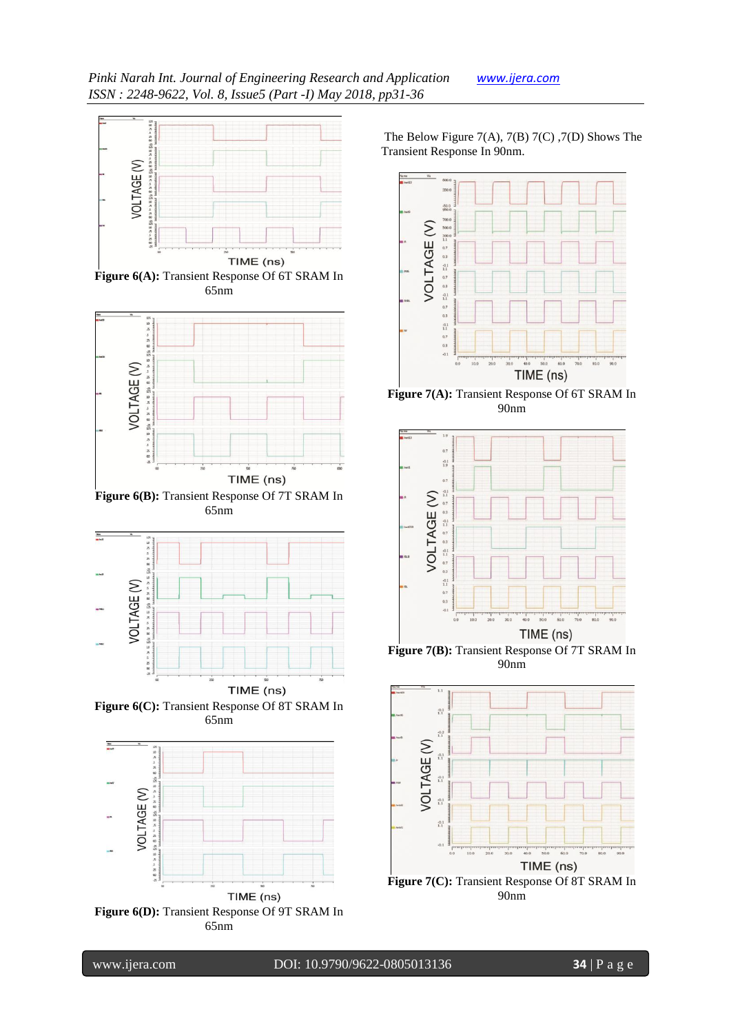





**Figure 6(B):** Transient Response Of 7T SRAM In 65nm



**Figure 6(C):** Transient Response Of 8T SRAM In 65nm



The Below Figure 7(A), 7(B) 7(C) ,7(D) Shows The Transient Response In 90nm.



**Figure 7(A):** Transient Response Of 6T SRAM In 90nm



**Figure 7(B):** Transient Response Of 7T SRAM In 90nm



90nm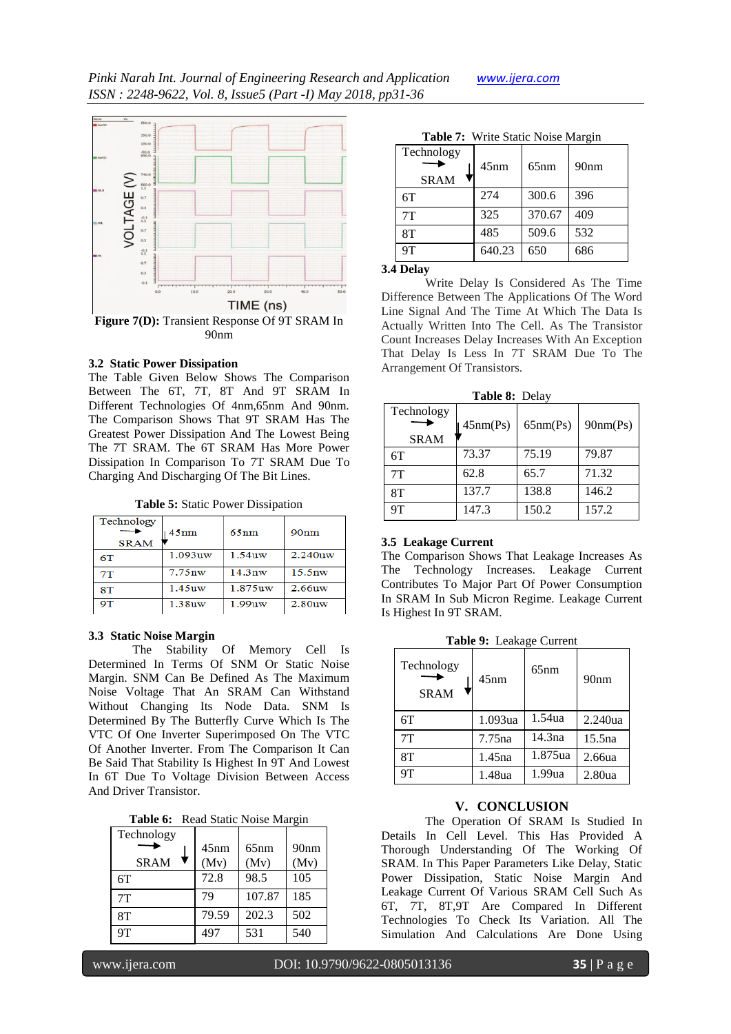

### **3.2 Static Power Dissipation**

The Table Given Below Shows The Comparison Between The 6T, 7T, 8T And 9T SRAM In Different Technologies Of 4nm,65nm And 90nm. The Comparison Shows That 9T SRAM Has The Greatest Power Dissipation And The Lowest Being The 7T SRAM. The 6T SRAM Has More Power Dissipation In Comparison To 7T SRAM Due To Charging And Discharging Of The Bit Lines.

**Table 5:** Static Power Dissipation

| Technology<br><b>SRAM</b> | 45nm               | 65nm               | 90nm               |
|---------------------------|--------------------|--------------------|--------------------|
| 6T                        | 1.093uw            | $1.54$ uw          | 2.240uw            |
| 7T                        | 7.75 <sub>nw</sub> | 14.3 <sub>nv</sub> | 15.5 <sub>nw</sub> |
| 8T                        | 1.45uw             | 1.875uw            | $2.66$ uw          |
| <b>9T</b>                 | 1.38uw             | $1.99$ uw          | 2.80uw             |

#### **3.3 Static Noise Margin**

The Stability Of Memory Cell Is Determined In Terms Of SNM Or Static Noise Margin. SNM Can Be Defined As The Maximum Noise Voltage That An SRAM Can Withstand Without Changing Its Node Data. SNM Is Determined By The Butterfly Curve Which Is The VTC Of One Inverter Superimposed On The VTC Of Another Inverter. From The Comparison It Can Be Said That Stability Is Highest In 9T And Lowest In 6T Due To Voltage Division Between Access And Driver Transistor.

|  |  | Table 6: Read Static Noise Margin |
|--|--|-----------------------------------|
|--|--|-----------------------------------|

| Technology  |       |        |                  |
|-------------|-------|--------|------------------|
|             | 45nm  | 65nm   | 90 <sub>nm</sub> |
| <b>SRAM</b> | (Mv)  | (Mv)   | (Mv)             |
| 6T          | 72.8  | 98.5   | 105              |
| 7T          | 79    | 107.87 | 185              |
| 8T          | 79.59 | 202.3  | 502              |
| 9T          | 497   | 531    | 540              |

|  |  | Table 7: Write Static Noise Margin |
|--|--|------------------------------------|
|--|--|------------------------------------|

| Technology<br><b>SRAM</b> | 45nm   | 65nm   | 90 <sub>nm</sub> |
|---------------------------|--------|--------|------------------|
| 6T                        | 274    | 300.6  | 396              |
| 7T                        | 325    | 370.67 | 409              |
| 8T                        | 485    | 509.6  | 532              |
| 9T                        | 640.23 | 650    | 686              |

### **3.4 Delay**

Write Delay Is Considered As The Time Difference Between The Applications Of The Word Line Signal And The Time At Which The Data Is Actually Written Into The Cell. As The Transistor Count Increases Delay Increases With An Exception That Delay Is Less In 7T SRAM Due To The Arrangement Of Transistors.

**Table 8:** Delay

| Technology<br><b>SRAM</b> | 45nm(Ps) | 65nm(Ps) | 90nm(Ps) |
|---------------------------|----------|----------|----------|
| 6T                        | 73.37    | 75.19    | 79.87    |
| 7T                        | 62.8     | 65.7     | 71.32    |
| 8Т                        | 137.7    | 138.8    | 146.2    |
| 9Τ                        | 147.3    | 150.2    | 157.2    |

# T **3.5 Leakage Current**

The Comparison Shows That Leakage Increases As The Technology Increases. Leakage Current Contributes To Major Part Of Power Consumption In SRAM In Sub Micron Regime. Leakage Current Is Highest In 9T SRAM.

**Table 9:** Leakage Current

| Technology<br><b>SRAM</b> | 45nm               | 65nm    | 90nm               |
|---------------------------|--------------------|---------|--------------------|
| 6T                        | 1.093ua            | 1.54ua  | 2.240ua            |
| 7T                        | 7.75 <sub>na</sub> | 14.3na  | 15.5 <sub>na</sub> |
| 8T                        | 1.45na             | 1.875ua | 2.66ua             |
|                           | 1.48ua             | 1.99ua  | 2.80 <sub>ua</sub> |

## **V. CONCLUSION**

The Operation Of SRAM Is Studied In Details In Cell Level. This Has Provided A Thorough Understanding Of The Working Of SRAM. In This Paper Parameters Like Delay, Static Power Dissipation, Static Noise Margin And Leakage Current Of Various SRAM Cell Such As 6T, 7T, 8T,9T Are Compared In Different Technologies To Check Its Variation. All The Simulation And Calculations Are Done Using